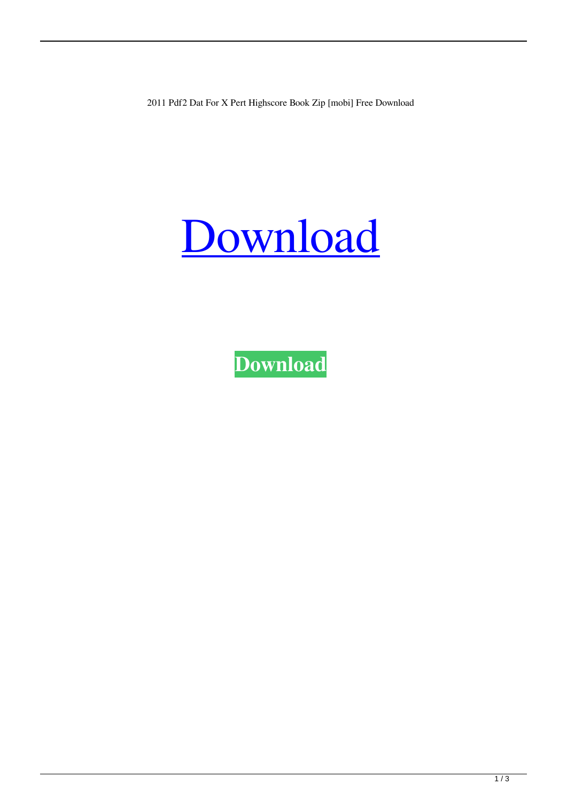2011 Pdf2 Dat For X Pert Highscore Book Zip [mobi] Free Download

## [Download](http://evacdir.com/asiago/federalized/ringworms.bachelde?../ZG93bmxvYWR8eDR0TW10cmRYeDhNVFkxTWpjME1EZzJObng4TWpVM05IeDhLRTBwSUhKbFlXUXRZbXh2WnlCYlJtRnpkQ0JIUlU1ZA/hormone/purportedly.KDIwMTEpIGZyZWUgZG93bmxvYWQgcGRmMiBkYXQgZm9yIHggcGVydCBoaWdoc2NvcmUgLnBkZgKDI)

**[Download](http://evacdir.com/asiago/federalized/ringworms.bachelde?../ZG93bmxvYWR8eDR0TW10cmRYeDhNVFkxTWpjME1EZzJObng4TWpVM05IeDhLRTBwSUhKbFlXUXRZbXh2WnlCYlJtRnpkQ0JIUlU1ZA/hormone/purportedly.KDIwMTEpIGZyZWUgZG93bmxvYWQgcGRmMiBkYXQgZm9yIHggcGVydCBoaWdoc2NvcmUgLnBkZgKDI)**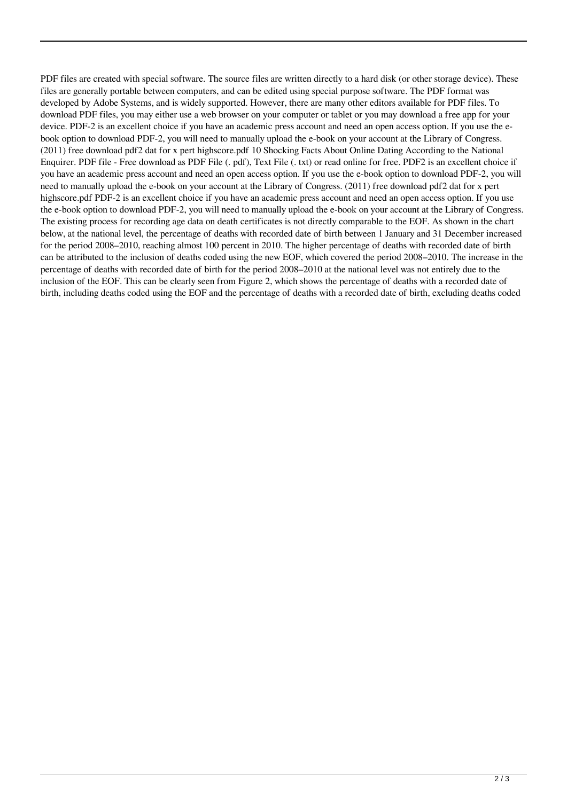PDF files are created with special software. The source files are written directly to a hard disk (or other storage device). These files are generally portable between computers, and can be edited using special purpose software. The PDF format was developed by Adobe Systems, and is widely supported. However, there are many other editors available for PDF files. To download PDF files, you may either use a web browser on your computer or tablet or you may download a free app for your device. PDF-2 is an excellent choice if you have an academic press account and need an open access option. If you use the ebook option to download PDF-2, you will need to manually upload the e-book on your account at the Library of Congress. (2011) free download pdf2 dat for x pert highscore.pdf 10 Shocking Facts About Online Dating According to the National Enquirer. PDF file - Free download as PDF File (. pdf), Text File (. txt) or read online for free. PDF2 is an excellent choice if you have an academic press account and need an open access option. If you use the e-book option to download PDF-2, you will need to manually upload the e-book on your account at the Library of Congress. (2011) free download pdf2 dat for x pert highscore.pdf PDF-2 is an excellent choice if you have an academic press account and need an open access option. If you use the e-book option to download PDF-2, you will need to manually upload the e-book on your account at the Library of Congress. The existing process for recording age data on death certificates is not directly comparable to the EOF. As shown in the chart below, at the national level, the percentage of deaths with recorded date of birth between 1 January and 31 December increased for the period 2008–2010, reaching almost 100 percent in 2010. The higher percentage of deaths with recorded date of birth can be attributed to the inclusion of deaths coded using the new EOF, which covered the period 2008–2010. The increase in the percentage of deaths with recorded date of birth for the period 2008–2010 at the national level was not entirely due to the inclusion of the EOF. This can be clearly seen from Figure 2, which shows the percentage of deaths with a recorded date of birth, including deaths coded using the EOF and the percentage of deaths with a recorded date of birth, excluding deaths coded